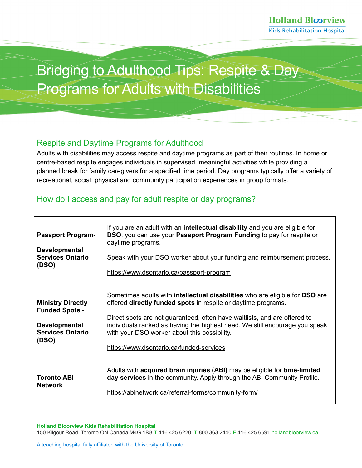# Bridging to Adulthood Tips: Respite & Day Programs for Adults with Disabilities

## Respite and Daytime Programs for Adulthood

Adults with disabilities may access respite and daytime programs as part of their routines. In home or centre-based respite engages individuals in supervised, meaningful activities while providing a planned break for family caregivers for a specified time period. Day programs typically offer a variety of recreational, social, physical and community participation experiences in group formats.

# How do I access and pay for adult respite or day programs?

| <b>Passport Program-</b><br><b>Developmental</b><br><b>Services Ontario</b><br>(DSO)                          | If you are an adult with an <b>intellectual disability</b> and you are eligible for<br>DSO, you can use your Passport Program Funding to pay for respite or<br>daytime programs.<br>Speak with your DSO worker about your funding and reimbursement process.<br>https://www.dsontario.ca/passport-program                                                                                                                  |
|---------------------------------------------------------------------------------------------------------------|----------------------------------------------------------------------------------------------------------------------------------------------------------------------------------------------------------------------------------------------------------------------------------------------------------------------------------------------------------------------------------------------------------------------------|
| <b>Ministry Directly</b><br><b>Funded Spots -</b><br><b>Developmental</b><br><b>Services Ontario</b><br>(DSO) | Sometimes adults with <b>intellectual disabilities</b> who are eligible for <b>DSO</b> are<br>offered <b>directly funded spots</b> in respite or daytime programs.<br>Direct spots are not guaranteed, often have waitlists, and are offered to<br>individuals ranked as having the highest need. We still encourage you speak<br>with your DSO worker about this possibility.<br>https://www.dsontario.ca/funded-services |
| <b>Toronto ABI</b><br><b>Network</b>                                                                          | Adults with acquired brain injuries (ABI) may be eligible for time-limited<br>day services in the community. Apply through the ABI Community Profile.<br>https://abinetwork.ca/referral-forms/community-form/                                                                                                                                                                                                              |

#### **Holland Bloorview Kids Rehabilitation Hospital**

150 Kilgour Road, Toronto ON Canada M4G 1R8 **T** 416 425 6220 **T** 800 363 2440 **F** 416 425 659[1 hollandbloorview.ca](https://www.hollandbloorview.ca/)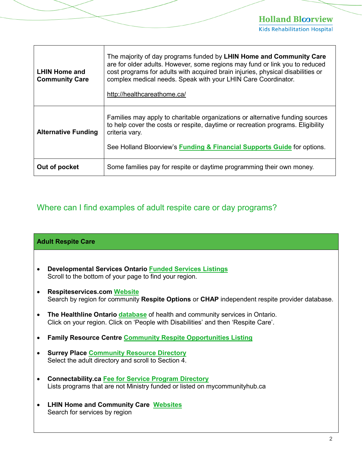# **Holland Bloorview**

**Kids Rehabilitation Hospital** 

| <b>LHIN Home and</b><br><b>Community Care</b> | The majority of day programs funded by LHIN Home and Community Care<br>are for older adults. However, some regions may fund or link you to reduced<br>cost programs for adults with acquired brain injuries, physical disabilities or<br>complex medical needs. Speak with your LHIN Care Coordinator.<br>http://healthcareathome.ca/ |
|-----------------------------------------------|---------------------------------------------------------------------------------------------------------------------------------------------------------------------------------------------------------------------------------------------------------------------------------------------------------------------------------------|
| <b>Alternative Funding</b>                    | Families may apply to charitable organizations or alternative funding sources<br>to help cover the costs or respite, daytime or recreation programs. Eligibility<br>criteria vary.<br>See Holland Bloorview's <b>Funding &amp; Financial Supports Guide</b> for options.                                                              |
| Out of pocket                                 | Some families pay for respite or daytime programming their own money.                                                                                                                                                                                                                                                                 |

## Where can I find examples of adult respite care or day programs?

### **Adult Respite Care**

- **Developmental Services Ontario [Funded Services Listings](https://www.dsontario.ca/funded-services)** Scroll to the bottom of your page to find your region.
- **Respiteservices.com Website** Search by region for community **Respite Options** or **CHAP** independent respite provider database.
- **The Healthline Ontario [database](https://www.thehealthline.ca/)** of health and community services in Ontario. Click on your region. Click on 'People with Disabilities' and then 'Respite Care'.
- **Family Resource Centre [Community Respite Opportunities Listing](https://hollandbloorview.ca/services/family-workshops-resources/family-resource-centre/community-respite-opportunities)**
- **Surrey Place [Community Resource Directory](https://www.surreyplace.ca/community-resource-directory/)** Select the adult directory and scroll to Section 4.
- **Connectability.ca [Fee for Service Program Directory](https://connectability.ca/directory)** Lists programs that are not Ministry funded or listed on mycommunityhub.ca
- **LHIN Home and Community Care [Websites](http://healthcareathome.ca/)** Search for services by region